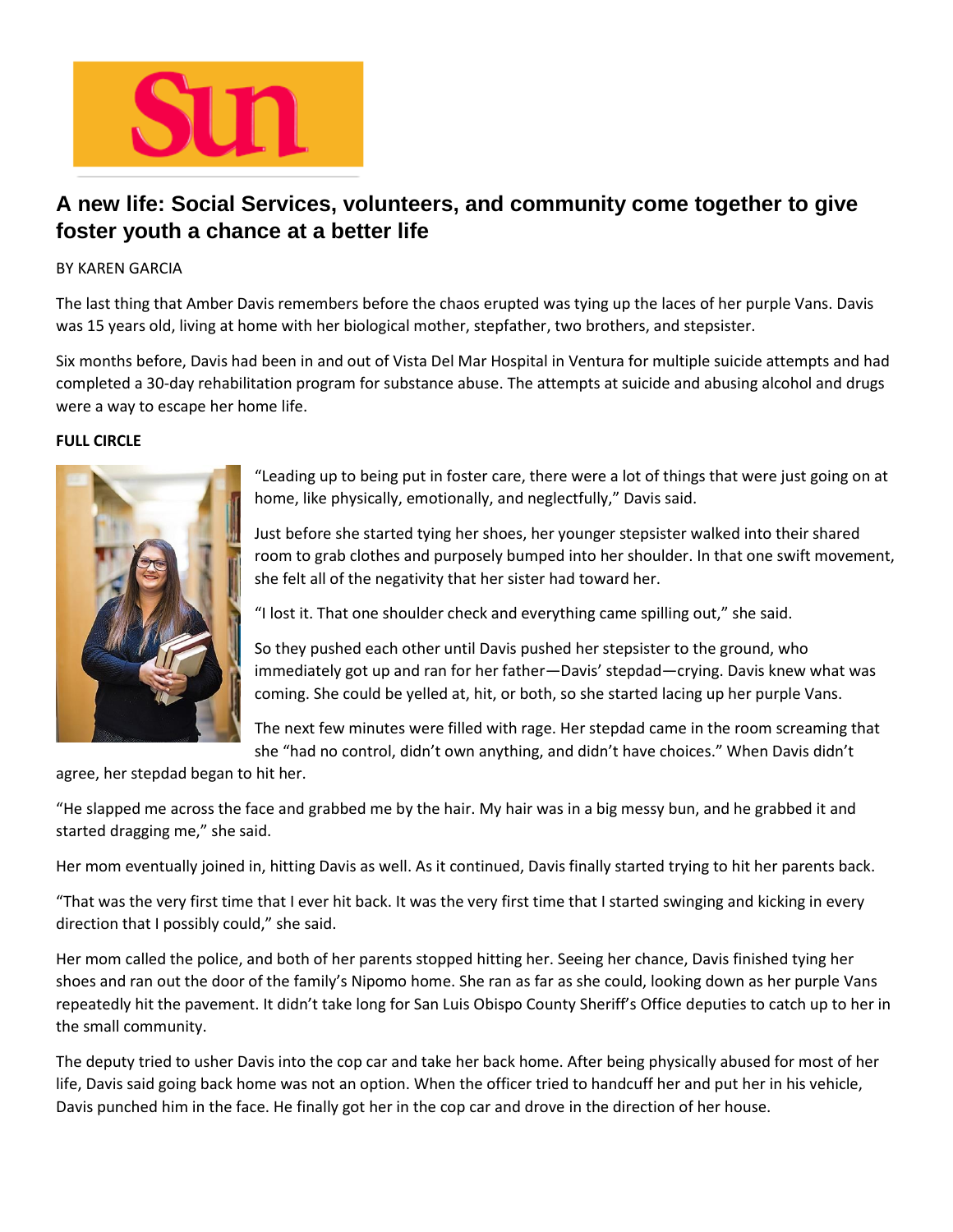

# **A new life: Social Services, volunteers, and community come together to give foster youth a chance at a better life**

#### BY KAREN GARCIA

The last thing that Amber Davis remembers before the chaos erupted was tying up the laces of her purple Vans. Davis was 15 years old, living at home with her biological mother, stepfather, two brothers, and stepsister.

Six months before, Davis had been in and out of Vista Del Mar Hospital in Ventura for multiple suicide attempts and had completed a 30-day rehabilitation program for substance abuse. The attempts at suicide and abusing alcohol and drugs were a way to escape her home life.

#### **FULL CIRCLE**



"Leading up to being put in foster care, there were a lot of things that were just going on at home, like physically, emotionally, and neglectfully," Davis said.

Just before she started tying her shoes, her younger stepsister walked into their shared room to grab clothes and purposely bumped into her shoulder. In that one swift movement, she felt all of the negativity that her sister had toward her.

"I lost it. That one shoulder check and everything came spilling out," she said.

So they pushed each other until Davis pushed her stepsister to the ground, who immediately got up and ran for her father—Davis' stepdad—crying. Davis knew what was coming. She could be yelled at, hit, or both, so she started lacing up her purple Vans.

The next few minutes were filled with rage. Her stepdad came in the room screaming that she "had no control, didn't own anything, and didn't have choices." When Davis didn't

agree, her stepdad began to hit her.

"He slapped me across the face and grabbed me by the hair. My hair was in a big messy bun, and he grabbed it and started dragging me," she said.

Her mom eventually joined in, hitting Davis as well. As it continued, Davis finally started trying to hit her parents back.

"That was the very first time that I ever hit back. It was the very first time that I started swinging and kicking in every direction that I possibly could," she said.

Her mom called the police, and both of her parents stopped hitting her. Seeing her chance, Davis finished tying her shoes and ran out the door of the family's Nipomo home. She ran as far as she could, looking down as her purple Vans repeatedly hit the pavement. It didn't take long for San Luis Obispo County Sheriff's Office deputies to catch up to her in the small community.

The deputy tried to usher Davis into the cop car and take her back home. After being physically abused for most of her life, Davis said going back home was not an option. When the officer tried to handcuff her and put her in his vehicle, Davis punched him in the face. He finally got her in the cop car and drove in the direction of her house.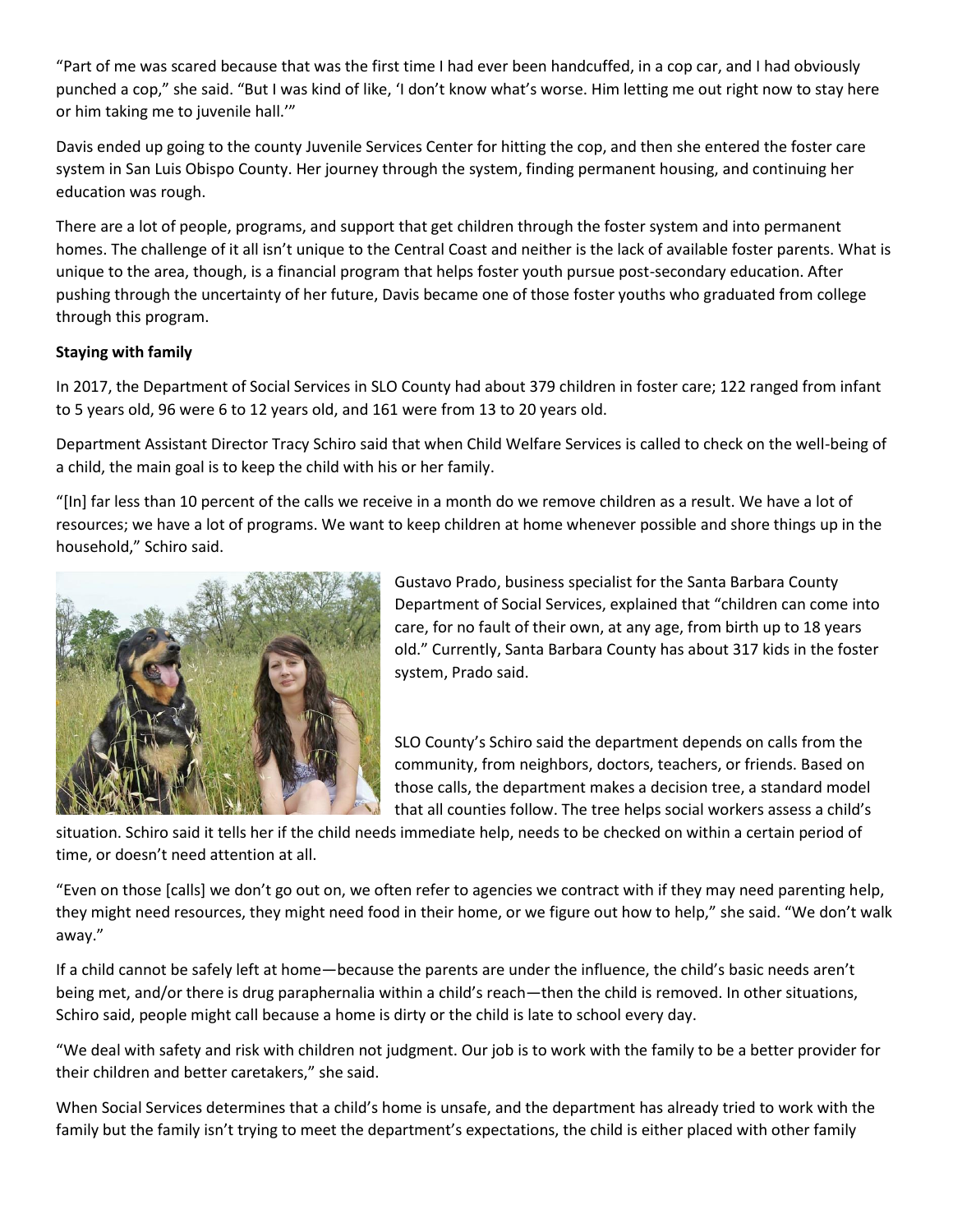"Part of me was scared because that was the first time I had ever been handcuffed, in a cop car, and I had obviously punched a cop," she said. "But I was kind of like, 'I don't know what's worse. Him letting me out right now to stay here or him taking me to juvenile hall.'"

Davis ended up going to the county Juvenile Services Center for hitting the cop, and then she entered the foster care system in San Luis Obispo County. Her journey through the system, finding permanent housing, and continuing her education was rough.

There are a lot of people, programs, and support that get children through the foster system and into permanent homes. The challenge of it all isn't unique to the Central Coast and neither is the lack of available foster parents. What is unique to the area, though, is a financial program that helps foster youth pursue post-secondary education. After pushing through the uncertainty of her future, Davis became one of those foster youths who graduated from college through this program.

## **Staying with family**

In 2017, the Department of Social Services in SLO County had about 379 children in foster care; 122 ranged from infant to 5 years old, 96 were 6 to 12 years old, and 161 were from 13 to 20 years old.

Department Assistant Director Tracy Schiro said that when Child Welfare Services is called to check on the well-being of a child, the main goal is to keep the child with his or her family.

"[In] far less than 10 percent of the calls we receive in a month do we remove children as a result. We have a lot of resources; we have a lot of programs. We want to keep children at home whenever possible and shore things up in the household," Schiro said.



Gustavo Prado, business specialist for the Santa Barbara County Department of Social Services, explained that "children can come into care, for no fault of their own, at any age, from birth up to 18 years old." Currently, Santa Barbara County has about 317 kids in the foster system, Prado said.

SLO County's Schiro said the department depends on calls from the community, from neighbors, doctors, teachers, or friends. Based on those calls, the department makes a decision tree, a standard model that all counties follow. The tree helps social workers assess a child's

situation. Schiro said it tells her if the child needs immediate help, needs to be checked on within a certain period of time, or doesn't need attention at all.

"Even on those [calls] we don't go out on, we often refer to agencies we contract with if they may need parenting help, they might need resources, they might need food in their home, or we figure out how to help," she said. "We don't walk away."

If a child cannot be safely left at home—because the parents are under the influence, the child's basic needs aren't being met, and/or there is drug paraphernalia within a child's reach—then the child is removed. In other situations, Schiro said, people might call because a home is dirty or the child is late to school every day.

"We deal with safety and risk with children not judgment. Our job is to work with the family to be a better provider for their children and better caretakers," she said.

When Social Services determines that a child's home is unsafe, and the department has already tried to work with the family but the family isn't trying to meet the department's expectations, the child is either placed with other family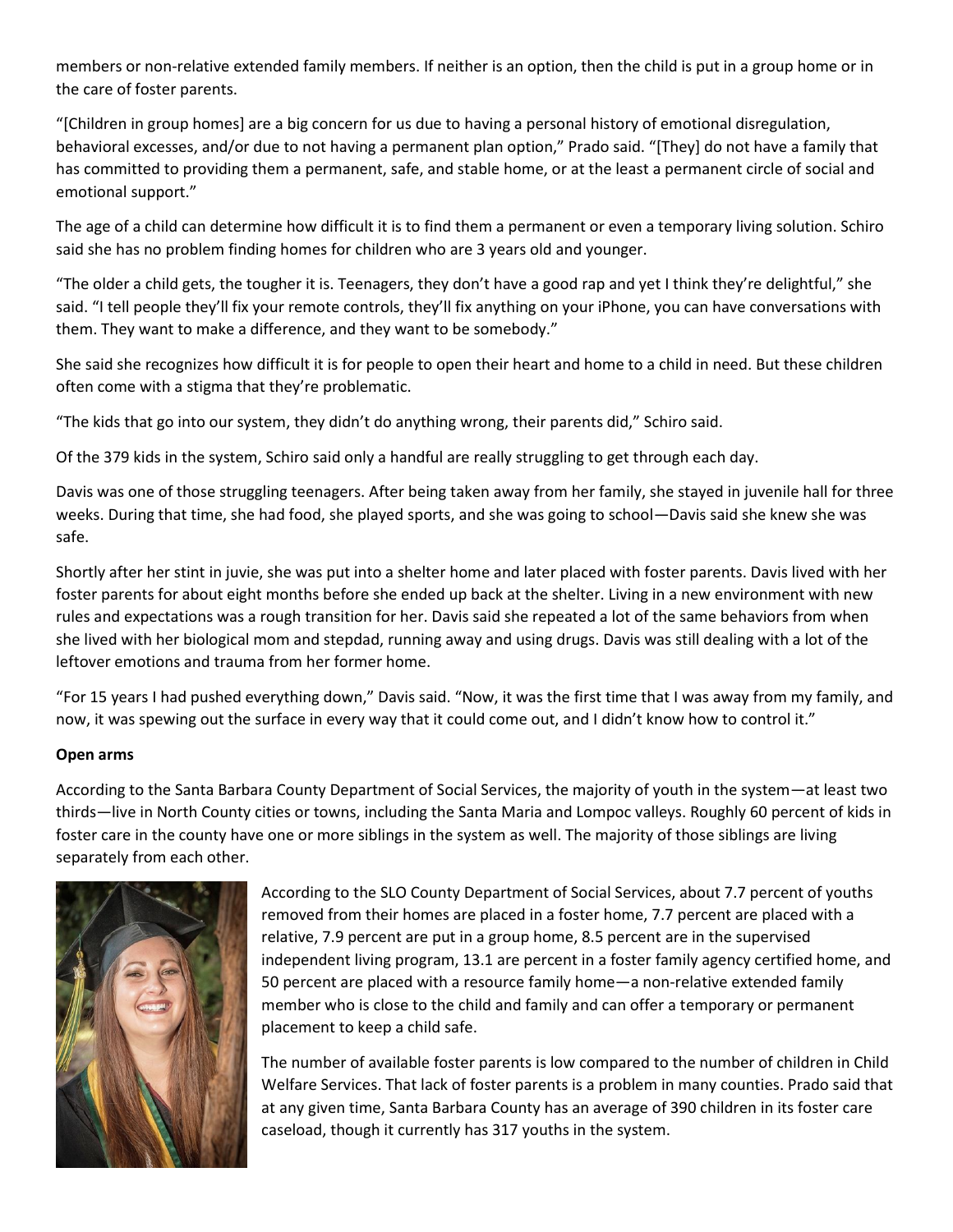members or non-relative extended family members. If neither is an option, then the child is put in a group home or in the care of foster parents.

"[Children in group homes] are a big concern for us due to having a personal history of emotional disregulation, behavioral excesses, and/or due to not having a permanent plan option," Prado said. "[They] do not have a family that has committed to providing them a permanent, safe, and stable home, or at the least a permanent circle of social and emotional support."

The age of a child can determine how difficult it is to find them a permanent or even a temporary living solution. Schiro said she has no problem finding homes for children who are 3 years old and younger.

"The older a child gets, the tougher it is. Teenagers, they don't have a good rap and yet I think they're delightful," she said. "I tell people they'll fix your remote controls, they'll fix anything on your iPhone, you can have conversations with them. They want to make a difference, and they want to be somebody."

She said she recognizes how difficult it is for people to open their heart and home to a child in need. But these children often come with a stigma that they're problematic.

"The kids that go into our system, they didn't do anything wrong, their parents did," Schiro said.

Of the 379 kids in the system, Schiro said only a handful are really struggling to get through each day.

Davis was one of those struggling teenagers. After being taken away from her family, she stayed in juvenile hall for three weeks. During that time, she had food, she played sports, and she was going to school—Davis said she knew she was safe.

Shortly after her stint in juvie, she was put into a shelter home and later placed with foster parents. Davis lived with her foster parents for about eight months before she ended up back at the shelter. Living in a new environment with new rules and expectations was a rough transition for her. Davis said she repeated a lot of the same behaviors from when she lived with her biological mom and stepdad, running away and using drugs. Davis was still dealing with a lot of the leftover emotions and trauma from her former home.

"For 15 years I had pushed everything down," Davis said. "Now, it was the first time that I was away from my family, and now, it was spewing out the surface in every way that it could come out, and I didn't know how to control it."

#### **Open arms**

According to the Santa Barbara County Department of Social Services, the majority of youth in the system—at least two thirds—live in North County cities or towns, including the Santa Maria and Lompoc valleys. Roughly 60 percent of kids in foster care in the county have one or more siblings in the system as well. The majority of those siblings are living separately from each other.



According to the SLO County Department of Social Services, about 7.7 percent of youths removed from their homes are placed in a foster home, 7.7 percent are placed with a relative, 7.9 percent are put in a group home, 8.5 percent are in the supervised independent living program, 13.1 are percent in a foster family agency certified home, and 50 percent are placed with a resource family home—a non-relative extended family member who is close to the child and family and can offer a temporary or permanent placement to keep a child safe.

The number of available foster parents is low compared to the number of children in Child Welfare Services. That lack of foster parents is a problem in many counties. Prado said that at any given time, Santa Barbara County has an average of 390 children in its foster care caseload, though it currently has 317 youths in the system.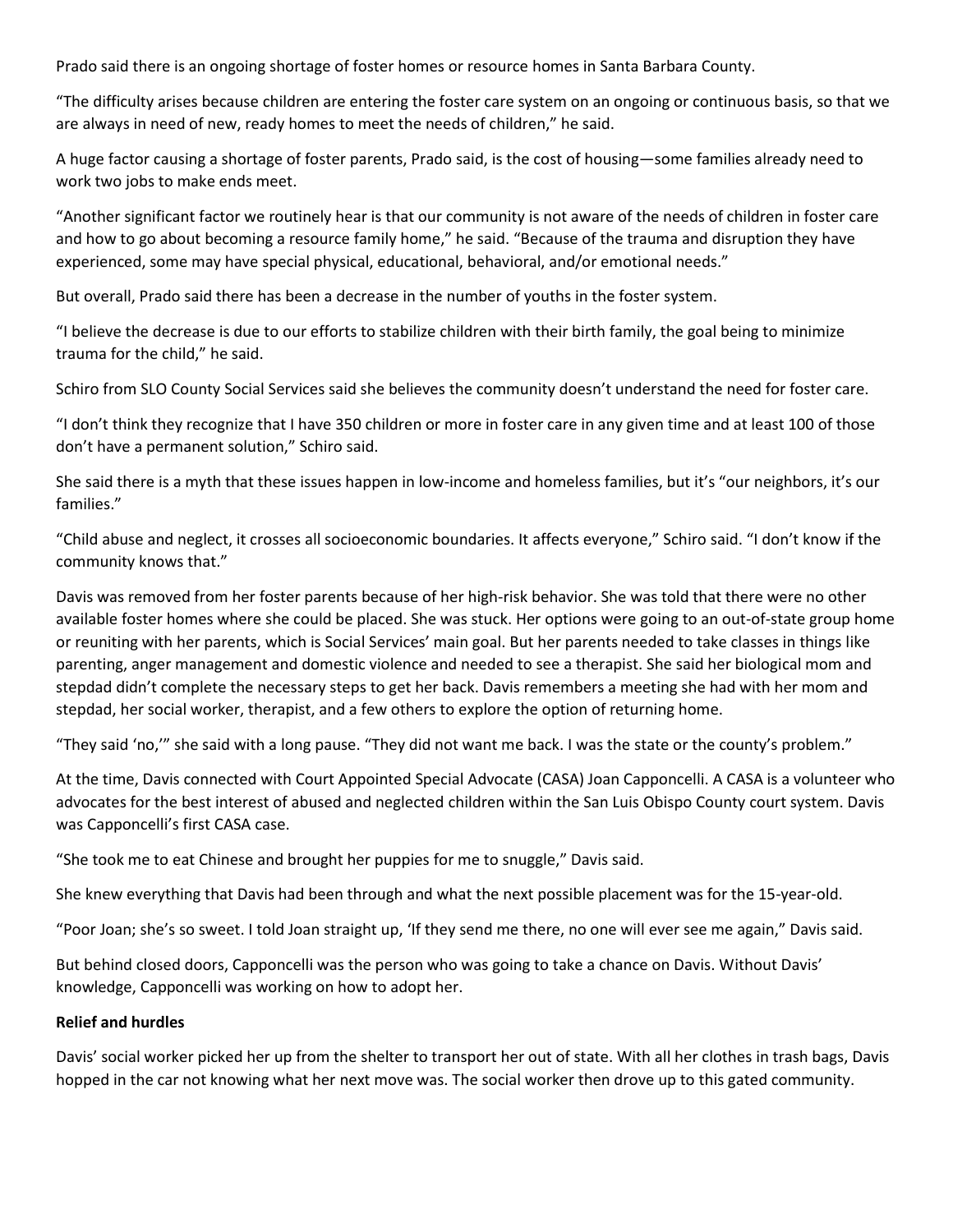Prado said there is an ongoing shortage of foster homes or resource homes in Santa Barbara County.

"The difficulty arises because children are entering the foster care system on an ongoing or continuous basis, so that we are always in need of new, ready homes to meet the needs of children," he said.

A huge factor causing a shortage of foster parents, Prado said, is the cost of housing—some families already need to work two jobs to make ends meet.

"Another significant factor we routinely hear is that our community is not aware of the needs of children in foster care and how to go about becoming a resource family home," he said. "Because of the trauma and disruption they have experienced, some may have special physical, educational, behavioral, and/or emotional needs."

But overall, Prado said there has been a decrease in the number of youths in the foster system.

"I believe the decrease is due to our efforts to stabilize children with their birth family, the goal being to minimize trauma for the child," he said.

Schiro from SLO County Social Services said she believes the community doesn't understand the need for foster care.

"I don't think they recognize that I have 350 children or more in foster care in any given time and at least 100 of those don't have a permanent solution," Schiro said.

She said there is a myth that these issues happen in low-income and homeless families, but it's "our neighbors, it's our families."

"Child abuse and neglect, it crosses all socioeconomic boundaries. It affects everyone," Schiro said. "I don't know if the community knows that."

Davis was removed from her foster parents because of her high-risk behavior. She was told that there were no other available foster homes where she could be placed. She was stuck. Her options were going to an out-of-state group home or reuniting with her parents, which is Social Services' main goal. But her parents needed to take classes in things like parenting, anger management and domestic violence and needed to see a therapist. She said her biological mom and stepdad didn't complete the necessary steps to get her back. Davis remembers a meeting she had with her mom and stepdad, her social worker, therapist, and a few others to explore the option of returning home.

"They said 'no,'" she said with a long pause. "They did not want me back. I was the state or the county's problem."

At the time, Davis connected with Court Appointed Special Advocate (CASA) Joan Capponcelli. A CASA is a volunteer who advocates for the best interest of abused and neglected children within the San Luis Obispo County court system. Davis was Capponcelli's first CASA case.

"She took me to eat Chinese and brought her puppies for me to snuggle," Davis said.

She knew everything that Davis had been through and what the next possible placement was for the 15-year-old.

"Poor Joan; she's so sweet. I told Joan straight up, 'If they send me there, no one will ever see me again," Davis said.

But behind closed doors, Capponcelli was the person who was going to take a chance on Davis. Without Davis' knowledge, Capponcelli was working on how to adopt her.

#### **Relief and hurdles**

Davis' social worker picked her up from the shelter to transport her out of state. With all her clothes in trash bags, Davis hopped in the car not knowing what her next move was. The social worker then drove up to this gated community.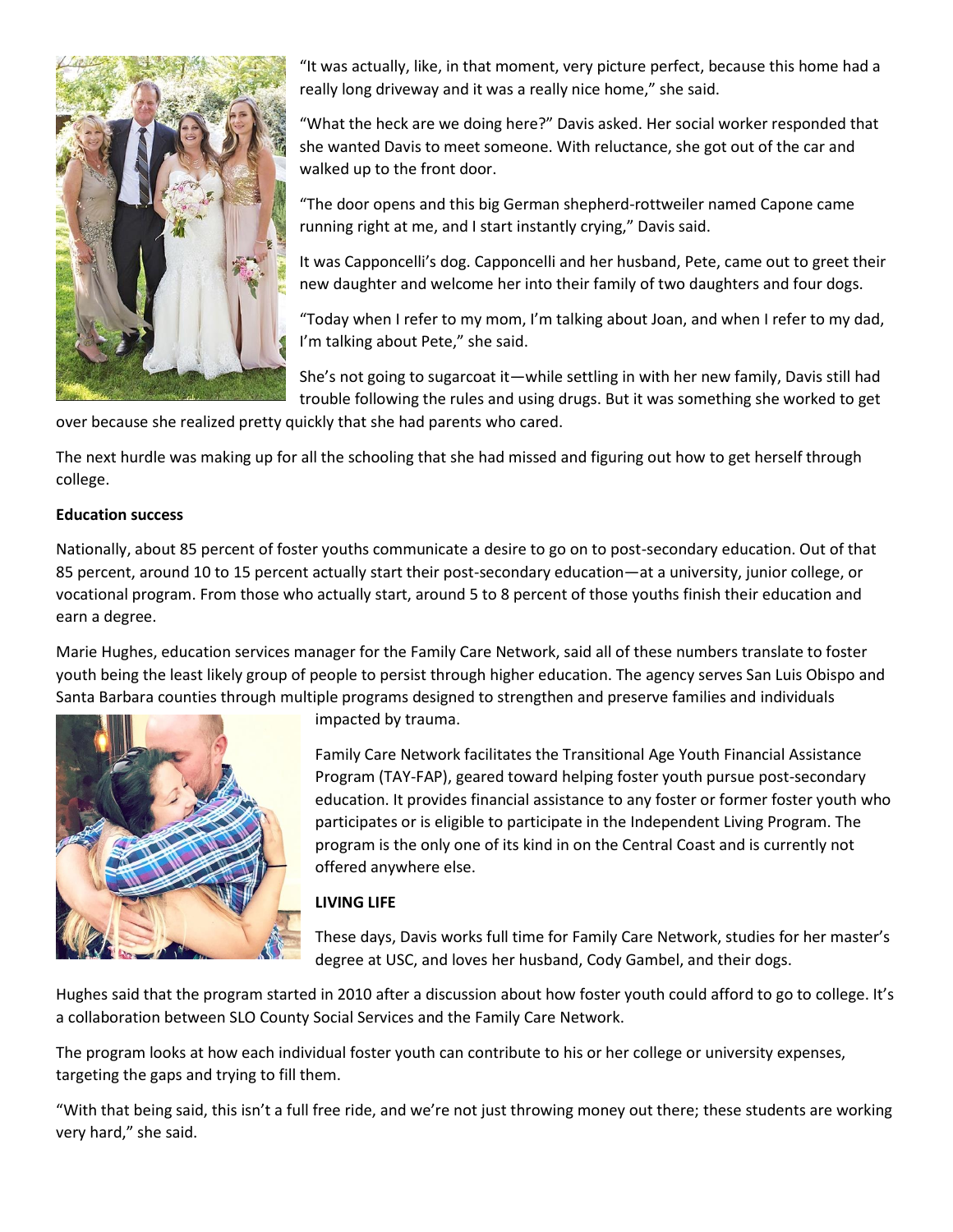

"It was actually, like, in that moment, very picture perfect, because this home had a really long driveway and it was a really nice home," she said.

"What the heck are we doing here?" Davis asked. Her social worker responded that she wanted Davis to meet someone. With reluctance, she got out of the car and walked up to the front door.

"The door opens and this big German shepherd-rottweiler named Capone came running right at me, and I start instantly crying," Davis said.

It was Capponcelli's dog. Capponcelli and her husband, Pete, came out to greet their new daughter and welcome her into their family of two daughters and four dogs.

"Today when I refer to my mom, I'm talking about Joan, and when I refer to my dad, I'm talking about Pete," she said.

She's not going to sugarcoat it—while settling in with her new family, Davis still had trouble following the rules and using drugs. But it was something she worked to get

over because she realized pretty quickly that she had parents who cared.

The next hurdle was making up for all the schooling that she had missed and figuring out how to get herself through college.

#### **Education success**

Nationally, about 85 percent of foster youths communicate a desire to go on to post-secondary education. Out of that 85 percent, around 10 to 15 percent actually start their post-secondary education—at a university, junior college, or vocational program. From those who actually start, around 5 to 8 percent of those youths finish their education and earn a degree.

Marie Hughes, education services manager for the Family Care Network, said all of these numbers translate to foster youth being the least likely group of people to persist through higher education. The agency serves San Luis Obispo and Santa Barbara counties through multiple programs designed to strengthen and preserve families and individuals



impacted by trauma.

Family Care Network facilitates the Transitional Age Youth Financial Assistance Program (TAY-FAP), geared toward helping foster youth pursue post-secondary education. It provides financial assistance to any foster or former foster youth who participates or is eligible to participate in the Independent Living Program. The program is the only one of its kind in on the Central Coast and is currently not offered anywhere else.

### **LIVING LIFE**

These days, Davis works full time for Family Care Network, studies for her master's degree at USC, and loves her husband, Cody Gambel, and their dogs.

Hughes said that the program started in 2010 after a discussion about how foster youth could afford to go to college. It's a collaboration between SLO County Social Services and the Family Care Network.

The program looks at how each individual foster youth can contribute to his or her college or university expenses, targeting the gaps and trying to fill them.

"With that being said, this isn't a full free ride, and we're not just throwing money out there; these students are working very hard," she said.